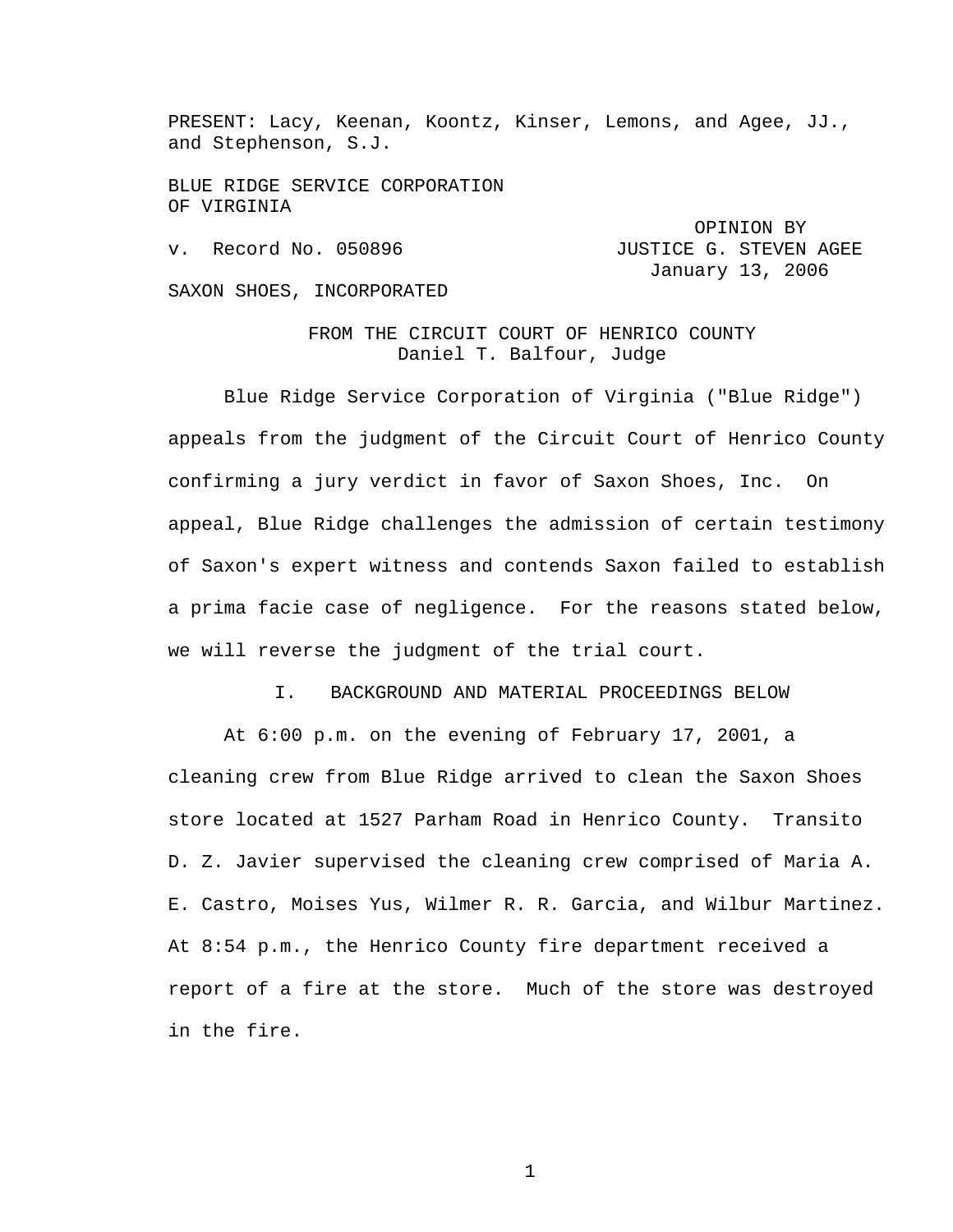PRESENT: Lacy, Keenan, Koontz, Kinser, Lemons, and Agee, JJ., and Stephenson, S.J.

BLUE RIDGE SERVICE CORPORATION OF VIRGINIA

v. Record No. 050896 **JUSTICE G. STEVEN AGEE**  January 13, 2006 SAXON SHOES, INCORPORATED

> FROM THE CIRCUIT COURT OF HENRICO COUNTY Daniel T. Balfour, Judge

OPINION BY

 Blue Ridge Service Corporation of Virginia ("Blue Ridge") appeals from the judgment of the Circuit Court of Henrico County confirming a jury verdict in favor of Saxon Shoes, Inc. On appeal, Blue Ridge challenges the admission of certain testimony of Saxon's expert witness and contends Saxon failed to establish a prima facie case of negligence. For the reasons stated below, we will reverse the judgment of the trial court.

I. BACKGROUND AND MATERIAL PROCEEDINGS BELOW

 At 6:00 p.m. on the evening of February 17, 2001, a cleaning crew from Blue Ridge arrived to clean the Saxon Shoes store located at 1527 Parham Road in Henrico County. Transito D. Z. Javier supervised the cleaning crew comprised of Maria A. E. Castro, Moises Yus, Wilmer R. R. Garcia, and Wilbur Martinez. At 8:54 p.m., the Henrico County fire department received a report of a fire at the store. Much of the store was destroyed in the fire.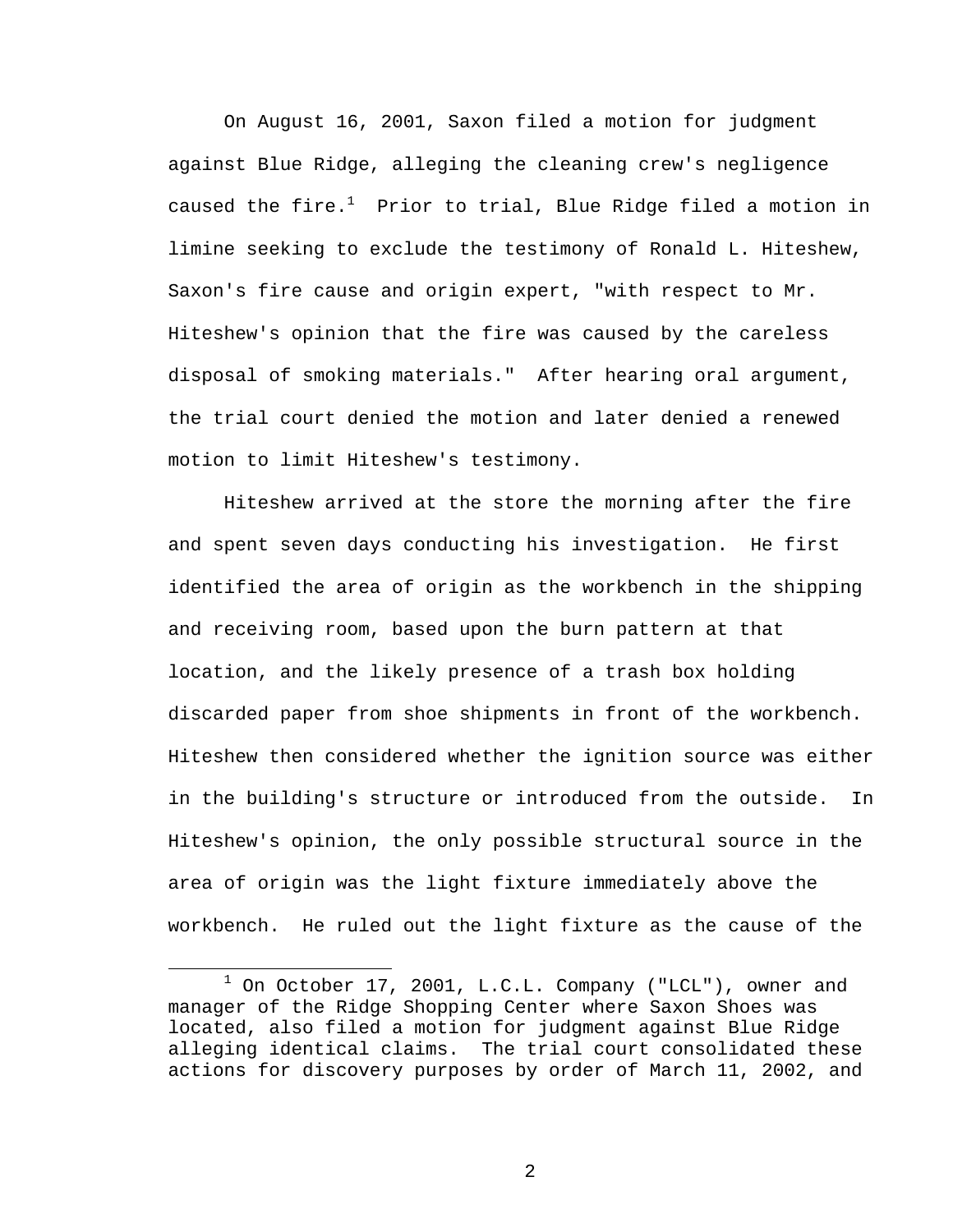On August 16, 2001, Saxon filed a motion for judgment against Blue Ridge, alleging the cleaning crew's negligence caused the fire. $^1$  Prior to trial, Blue Ridge filed a motion in limine seeking to exclude the testimony of Ronald L. Hiteshew, Saxon's fire cause and origin expert, "with respect to Mr. Hiteshew's opinion that the fire was caused by the careless disposal of smoking materials." After hearing oral argument, the trial court denied the motion and later denied a renewed motion to limit Hiteshew's testimony.

 Hiteshew arrived at the store the morning after the fire and spent seven days conducting his investigation. He first identified the area of origin as the workbench in the shipping and receiving room, based upon the burn pattern at that location, and the likely presence of a trash box holding discarded paper from shoe shipments in front of the workbench. Hiteshew then considered whether the ignition source was either in the building's structure or introduced from the outside. In Hiteshew's opinion, the only possible structural source in the area of origin was the light fixture immediately above the workbench. He ruled out the light fixture as the cause of the

<sup>1</sup>  $1$  On October 17, 2001, L.C.L. Company ("LCL"), owner and manager of the Ridge Shopping Center where Saxon Shoes was located, also filed a motion for judgment against Blue Ridge alleging identical claims. The trial court consolidated these actions for discovery purposes by order of March 11, 2002, and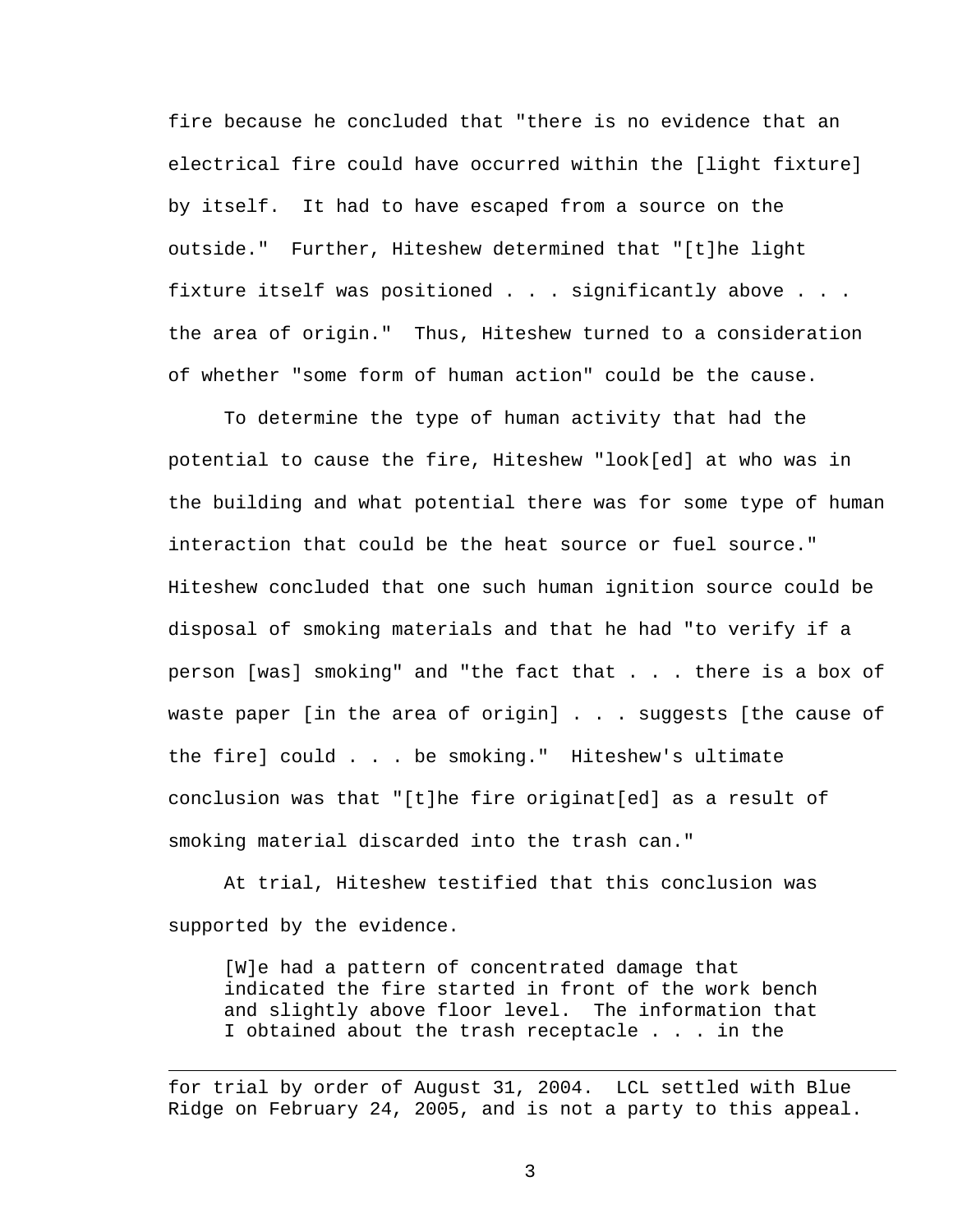fire because he concluded that "there is no evidence that an electrical fire could have occurred within the [light fixture] by itself. It had to have escaped from a source on the outside." Further, Hiteshew determined that "[t]he light fixture itself was positioned . . . significantly above . . . the area of origin." Thus, Hiteshew turned to a consideration of whether "some form of human action" could be the cause.

To determine the type of human activity that had the potential to cause the fire, Hiteshew "look[ed] at who was in the building and what potential there was for some type of human interaction that could be the heat source or fuel source." Hiteshew concluded that one such human ignition source could be disposal of smoking materials and that he had "to verify if a person [was] smoking" and "the fact that . . . there is a box of waste paper [in the area of origin] . . . suggests [the cause of the fire] could . . . be smoking." Hiteshew's ultimate conclusion was that "[t]he fire originat[ed] as a result of smoking material discarded into the trash can."

 At trial, Hiteshew testified that this conclusion was supported by the evidence.

[W]e had a pattern of concentrated damage that indicated the fire started in front of the work bench and slightly above floor level. The information that I obtained about the trash receptacle . . . in the

for trial by order of August 31, 2004. LCL settled with Blue Ridge on February 24, 2005, and is not a party to this appeal.

 $\overline{\phantom{a}}$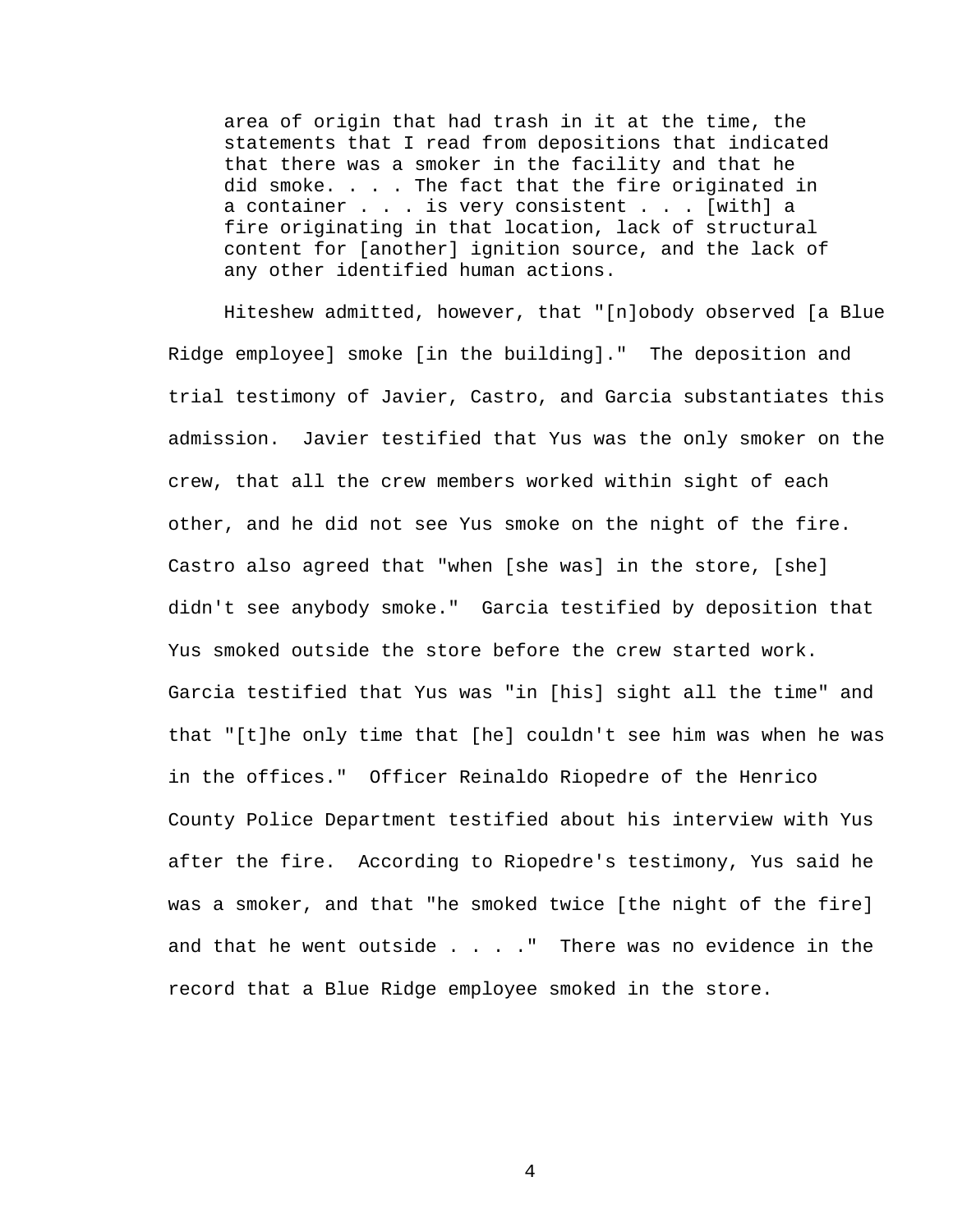area of origin that had trash in it at the time, the statements that I read from depositions that indicated that there was a smoker in the facility and that he did smoke. . . . The fact that the fire originated in a container . . . is very consistent . . . [with] a fire originating in that location, lack of structural content for [another] ignition source, and the lack of any other identified human actions.

Hiteshew admitted, however, that "[n]obody observed [a Blue Ridge employee] smoke [in the building]." The deposition and trial testimony of Javier, Castro, and Garcia substantiates this admission. Javier testified that Yus was the only smoker on the crew, that all the crew members worked within sight of each other, and he did not see Yus smoke on the night of the fire. Castro also agreed that "when [she was] in the store, [she] didn't see anybody smoke." Garcia testified by deposition that Yus smoked outside the store before the crew started work. Garcia testified that Yus was "in [his] sight all the time" and that "[t]he only time that [he] couldn't see him was when he was in the offices." Officer Reinaldo Riopedre of the Henrico County Police Department testified about his interview with Yus after the fire. According to Riopedre's testimony, Yus said he was a smoker, and that "he smoked twice [the night of the fire] and that he went outside . . . . " There was no evidence in the record that a Blue Ridge employee smoked in the store.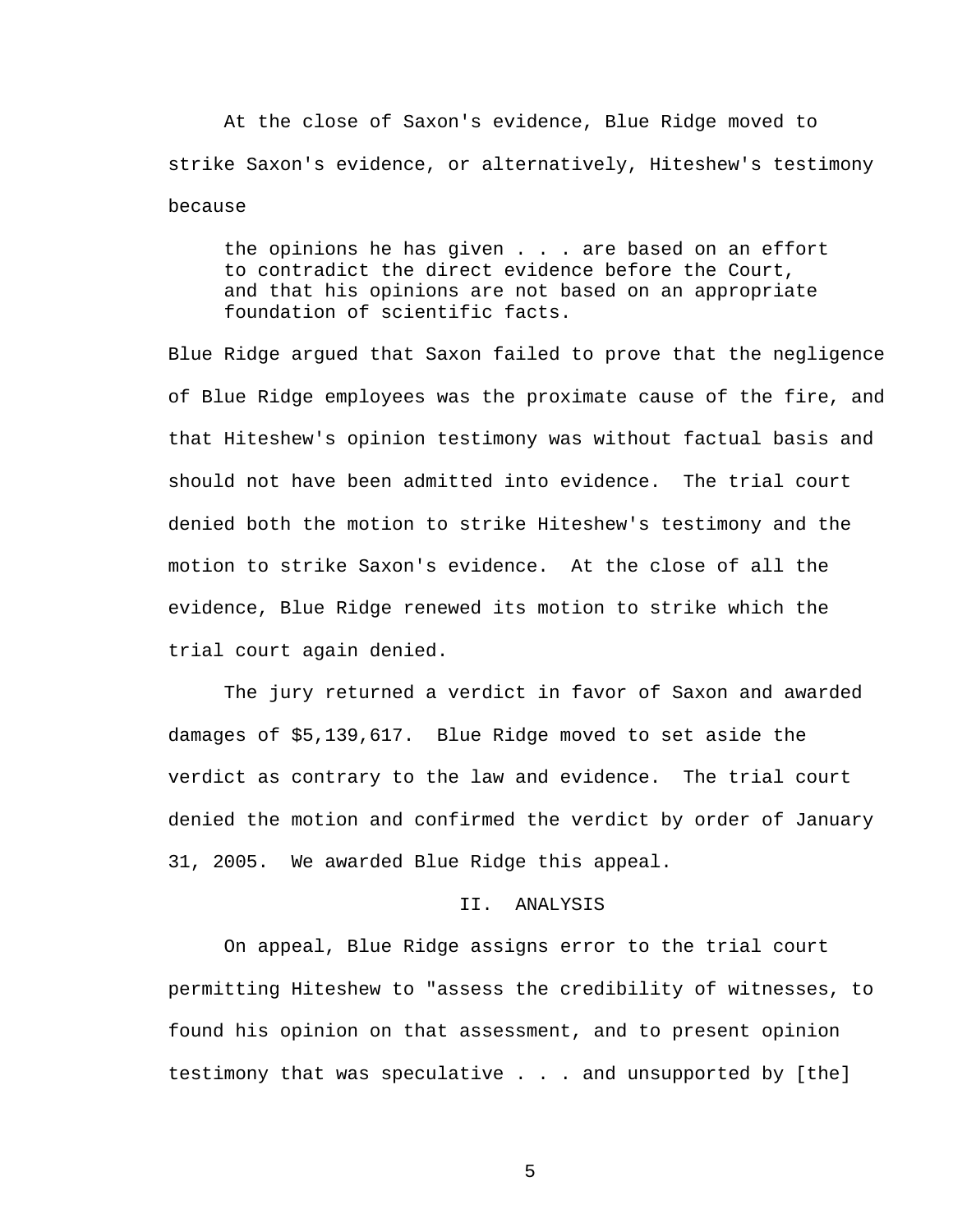At the close of Saxon's evidence, Blue Ridge moved to strike Saxon's evidence, or alternatively, Hiteshew's testimony because

the opinions he has given . . . are based on an effort to contradict the direct evidence before the Court, and that his opinions are not based on an appropriate foundation of scientific facts.

Blue Ridge argued that Saxon failed to prove that the negligence of Blue Ridge employees was the proximate cause of the fire, and that Hiteshew's opinion testimony was without factual basis and should not have been admitted into evidence. The trial court denied both the motion to strike Hiteshew's testimony and the motion to strike Saxon's evidence. At the close of all the evidence, Blue Ridge renewed its motion to strike which the trial court again denied.

 The jury returned a verdict in favor of Saxon and awarded damages of \$5,139,617. Blue Ridge moved to set aside the verdict as contrary to the law and evidence. The trial court denied the motion and confirmed the verdict by order of January 31, 2005. We awarded Blue Ridge this appeal.

## II. ANALYSIS

On appeal, Blue Ridge assigns error to the trial court permitting Hiteshew to "assess the credibility of witnesses, to found his opinion on that assessment, and to present opinion testimony that was speculative . . . and unsupported by [the]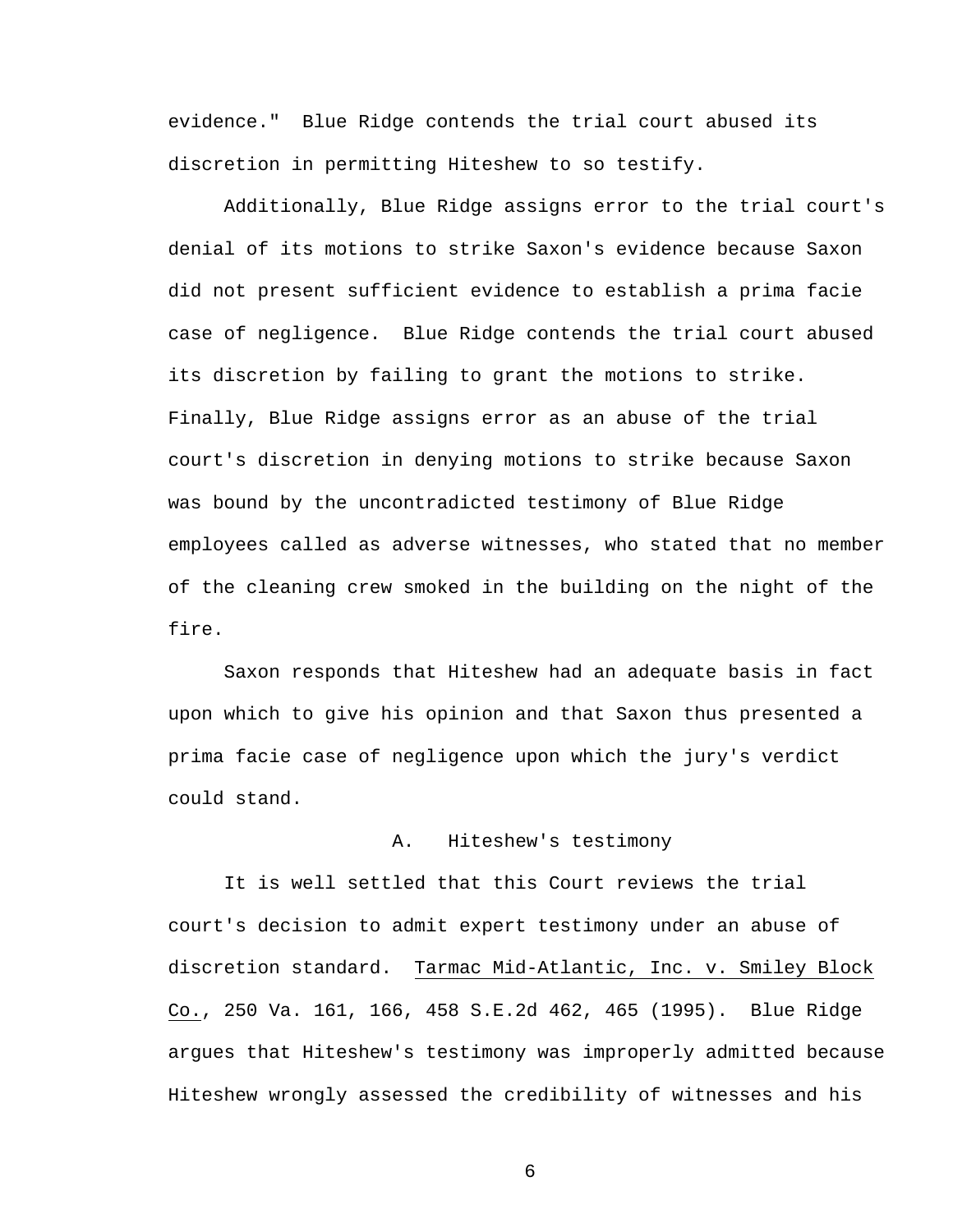evidence." Blue Ridge contends the trial court abused its discretion in permitting Hiteshew to so testify.

Additionally, Blue Ridge assigns error to the trial court's denial of its motions to strike Saxon's evidence because Saxon did not present sufficient evidence to establish a prima facie case of negligence. Blue Ridge contends the trial court abused its discretion by failing to grant the motions to strike. Finally, Blue Ridge assigns error as an abuse of the trial court's discretion in denying motions to strike because Saxon was bound by the uncontradicted testimony of Blue Ridge employees called as adverse witnesses, who stated that no member of the cleaning crew smoked in the building on the night of the fire.

Saxon responds that Hiteshew had an adequate basis in fact upon which to give his opinion and that Saxon thus presented a prima facie case of negligence upon which the jury's verdict could stand.

## A. Hiteshew's testimony

 It is well settled that this Court reviews the trial court's decision to admit expert testimony under an abuse of discretion standard. Tarmac Mid-Atlantic, Inc. v. Smiley Block Co., 250 Va. 161, 166, 458 S.E.2d 462, 465 (1995). Blue Ridge argues that Hiteshew's testimony was improperly admitted because Hiteshew wrongly assessed the credibility of witnesses and his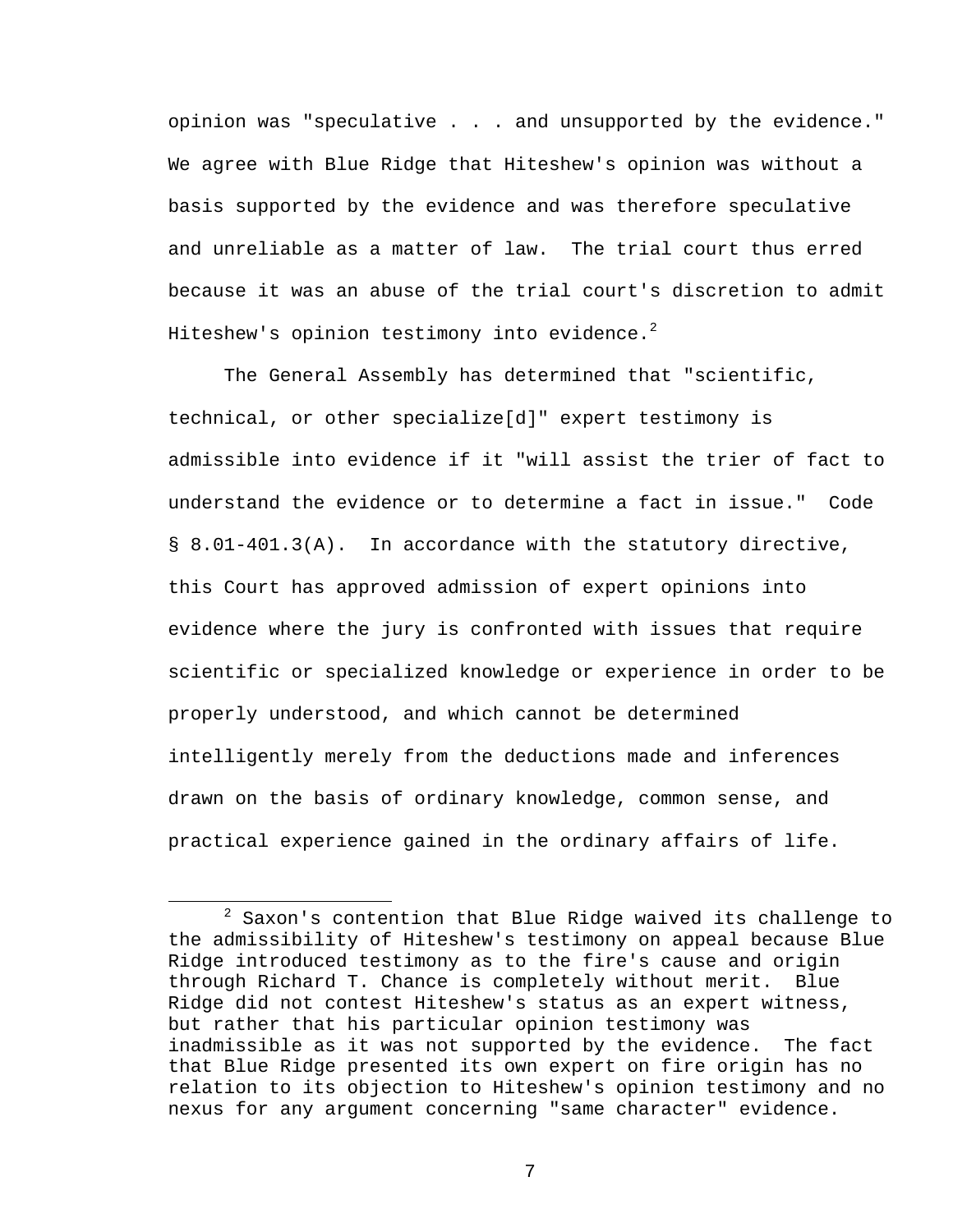opinion was "speculative . . . and unsupported by the evidence." We agree with Blue Ridge that Hiteshew's opinion was without a basis supported by the evidence and was therefore speculative and unreliable as a matter of law. The trial court thus erred because it was an abuse of the trial court's discretion to admit Hiteshew's opinion testimony into evidence. $^2$ 

 The General Assembly has determined that "scientific, technical, or other specialize[d]" expert testimony is admissible into evidence if it "will assist the trier of fact to understand the evidence or to determine a fact in issue." Code § 8.01-401.3(A). In accordance with the statutory directive, this Court has approved admission of expert opinions into evidence where the jury is confronted with issues that require scientific or specialized knowledge or experience in order to be properly understood, and which cannot be determined intelligently merely from the deductions made and inferences drawn on the basis of ordinary knowledge, common sense, and practical experience gained in the ordinary affairs of life.

 $\overline{\phantom{a}}$  2  $2$  Saxon's contention that Blue Ridge waived its challenge to the admissibility of Hiteshew's testimony on appeal because Blue Ridge introduced testimony as to the fire's cause and origin through Richard T. Chance is completely without merit. Blue Ridge did not contest Hiteshew's status as an expert witness, but rather that his particular opinion testimony was inadmissible as it was not supported by the evidence. The fact that Blue Ridge presented its own expert on fire origin has no relation to its objection to Hiteshew's opinion testimony and no nexus for any argument concerning "same character" evidence.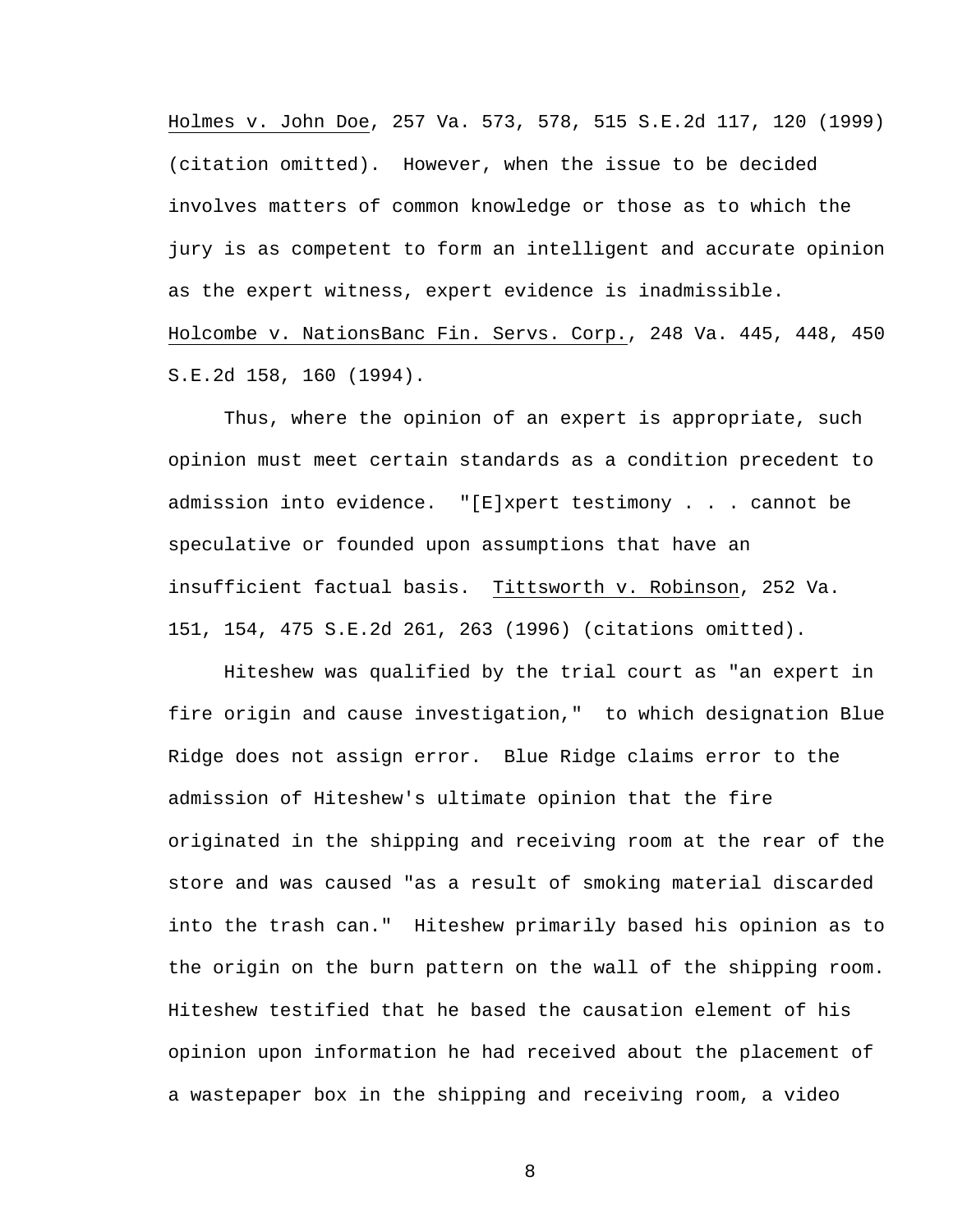Holmes v. John Doe, 257 Va. 573, 578, 515 S.E.2d 117, 120 (1999) (citation omitted). However, when the issue to be decided involves matters of common knowledge or those as to which the jury is as competent to form an intelligent and accurate opinion as the expert witness, expert evidence is inadmissible. Holcombe v. NationsBanc Fin. Servs. Corp., 248 Va. 445, 448, 450 S.E.2d 158, 160 (1994).

Thus, where the opinion of an expert is appropriate, such opinion must meet certain standards as a condition precedent to admission into evidence. "[E]xpert testimony . . . cannot be speculative or founded upon assumptions that have an insufficient factual basis. Tittsworth v. Robinson, 252 Va. 151, 154, 475 S.E.2d 261, 263 (1996) (citations omitted).

Hiteshew was qualified by the trial court as "an expert in fire origin and cause investigation," to which designation Blue Ridge does not assign error. Blue Ridge claims error to the admission of Hiteshew's ultimate opinion that the fire originated in the shipping and receiving room at the rear of the store and was caused "as a result of smoking material discarded into the trash can." Hiteshew primarily based his opinion as to the origin on the burn pattern on the wall of the shipping room. Hiteshew testified that he based the causation element of his opinion upon information he had received about the placement of a wastepaper box in the shipping and receiving room, a video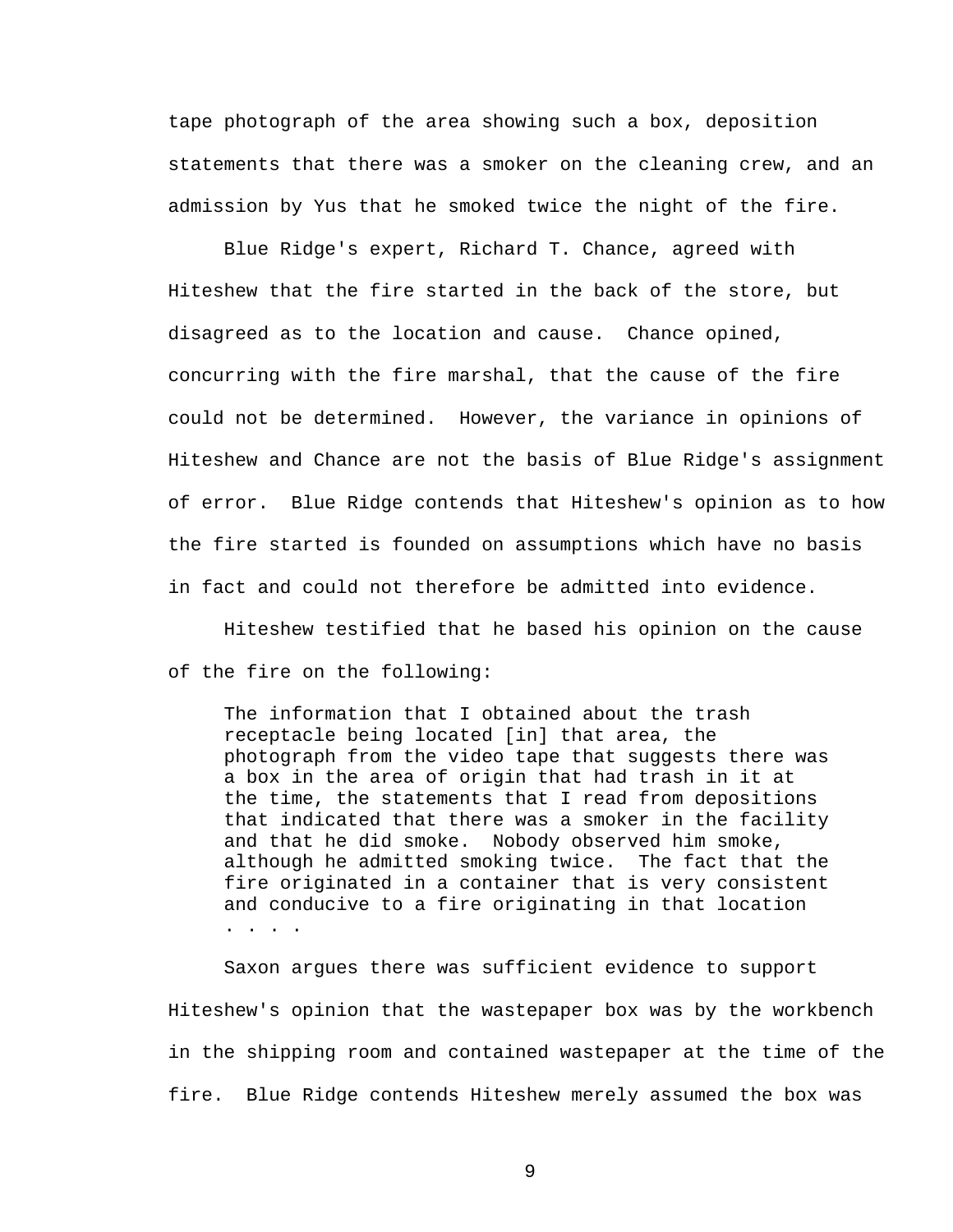tape photograph of the area showing such a box, deposition statements that there was a smoker on the cleaning crew, and an admission by Yus that he smoked twice the night of the fire.

Blue Ridge's expert, Richard T. Chance, agreed with Hiteshew that the fire started in the back of the store, but disagreed as to the location and cause. Chance opined, concurring with the fire marshal, that the cause of the fire could not be determined. However, the variance in opinions of Hiteshew and Chance are not the basis of Blue Ridge's assignment of error. Blue Ridge contends that Hiteshew's opinion as to how the fire started is founded on assumptions which have no basis in fact and could not therefore be admitted into evidence.

Hiteshew testified that he based his opinion on the cause of the fire on the following:

The information that I obtained about the trash receptacle being located [in] that area, the photograph from the video tape that suggests there was a box in the area of origin that had trash in it at the time, the statements that I read from depositions that indicated that there was a smoker in the facility and that he did smoke. Nobody observed him smoke, although he admitted smoking twice. The fact that the fire originated in a container that is very consistent and conducive to a fire originating in that location . . . .

Saxon argues there was sufficient evidence to support Hiteshew's opinion that the wastepaper box was by the workbench in the shipping room and contained wastepaper at the time of the fire. Blue Ridge contends Hiteshew merely assumed the box was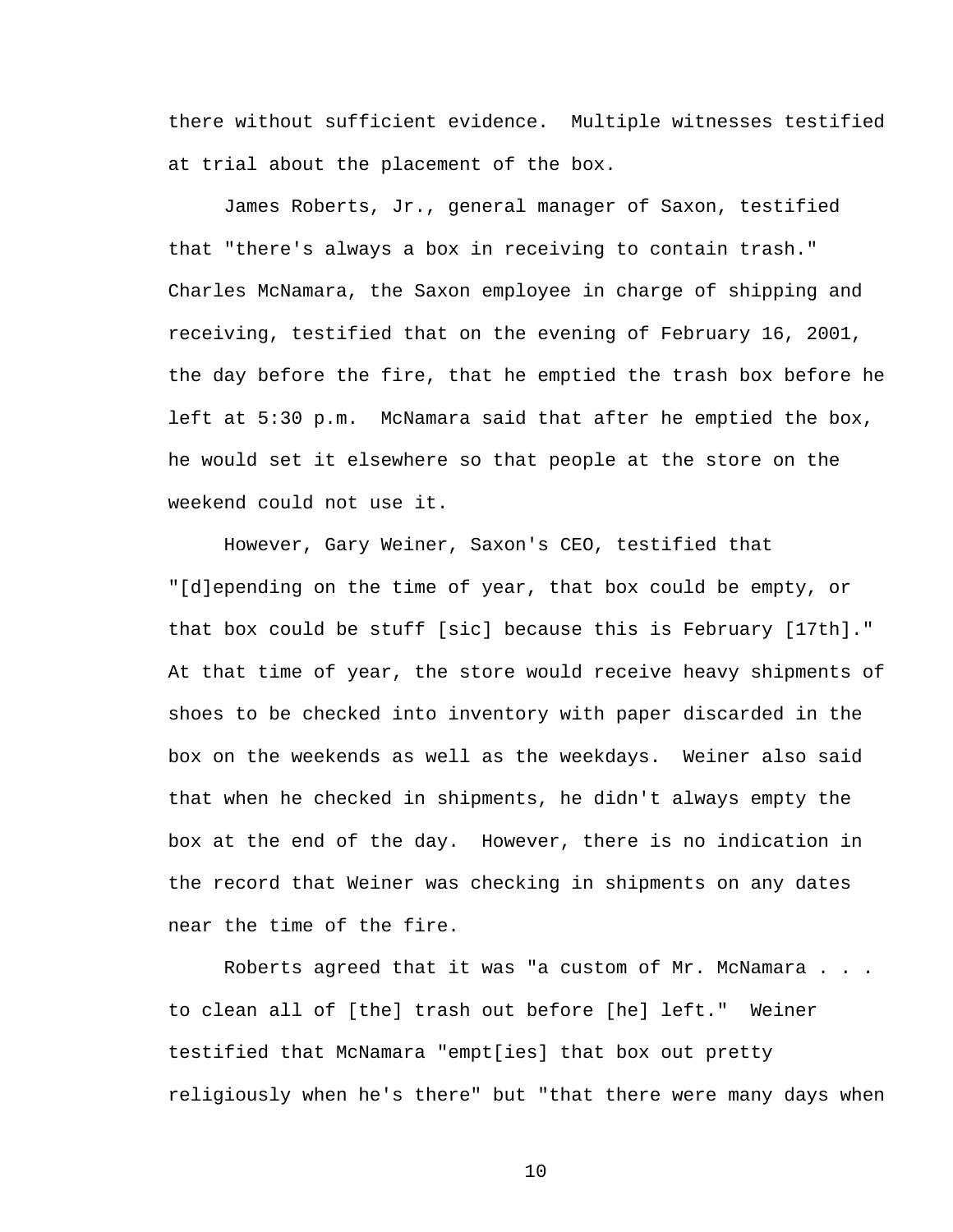there without sufficient evidence. Multiple witnesses testified at trial about the placement of the box.

James Roberts, Jr., general manager of Saxon, testified that "there's always a box in receiving to contain trash." Charles McNamara, the Saxon employee in charge of shipping and receiving, testified that on the evening of February 16, 2001, the day before the fire, that he emptied the trash box before he left at 5:30 p.m. McNamara said that after he emptied the box, he would set it elsewhere so that people at the store on the weekend could not use it.

However, Gary Weiner, Saxon's CEO, testified that "[d]epending on the time of year, that box could be empty, or that box could be stuff [sic] because this is February [17th]." At that time of year, the store would receive heavy shipments of shoes to be checked into inventory with paper discarded in the box on the weekends as well as the weekdays. Weiner also said that when he checked in shipments, he didn't always empty the box at the end of the day. However, there is no indication in the record that Weiner was checking in shipments on any dates near the time of the fire.

Roberts agreed that it was "a custom of Mr. McNamara . . . to clean all of [the] trash out before [he] left." Weiner testified that McNamara "empt[ies] that box out pretty religiously when he's there" but "that there were many days when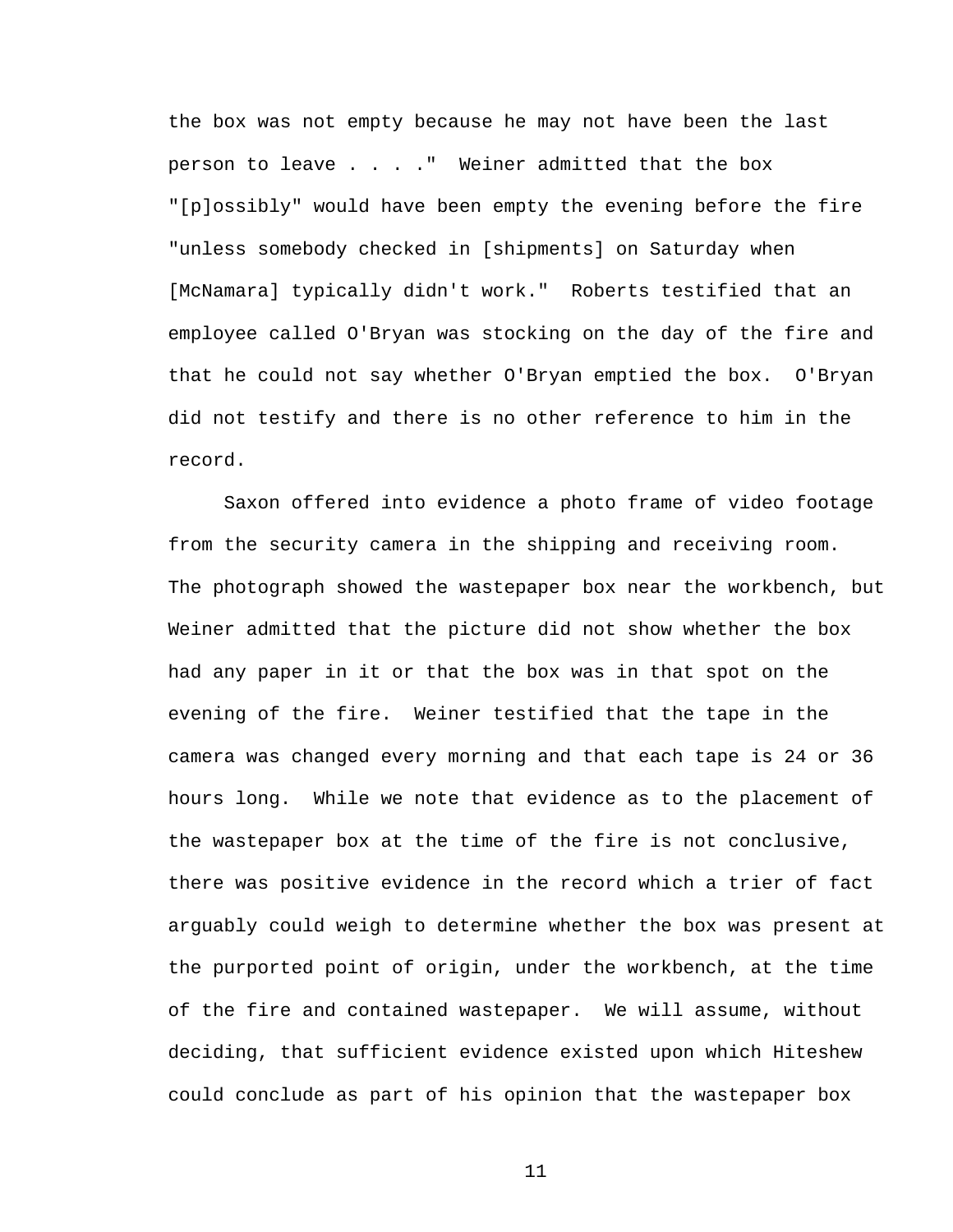the box was not empty because he may not have been the last person to leave . . . ." Weiner admitted that the box "[p]ossibly" would have been empty the evening before the fire "unless somebody checked in [shipments] on Saturday when [McNamara] typically didn't work." Roberts testified that an employee called O'Bryan was stocking on the day of the fire and that he could not say whether O'Bryan emptied the box. O'Bryan did not testify and there is no other reference to him in the record.

Saxon offered into evidence a photo frame of video footage from the security camera in the shipping and receiving room. The photograph showed the wastepaper box near the workbench, but Weiner admitted that the picture did not show whether the box had any paper in it or that the box was in that spot on the evening of the fire. Weiner testified that the tape in the camera was changed every morning and that each tape is 24 or 36 hours long. While we note that evidence as to the placement of the wastepaper box at the time of the fire is not conclusive, there was positive evidence in the record which a trier of fact arguably could weigh to determine whether the box was present at the purported point of origin, under the workbench, at the time of the fire and contained wastepaper. We will assume, without deciding, that sufficient evidence existed upon which Hiteshew could conclude as part of his opinion that the wastepaper box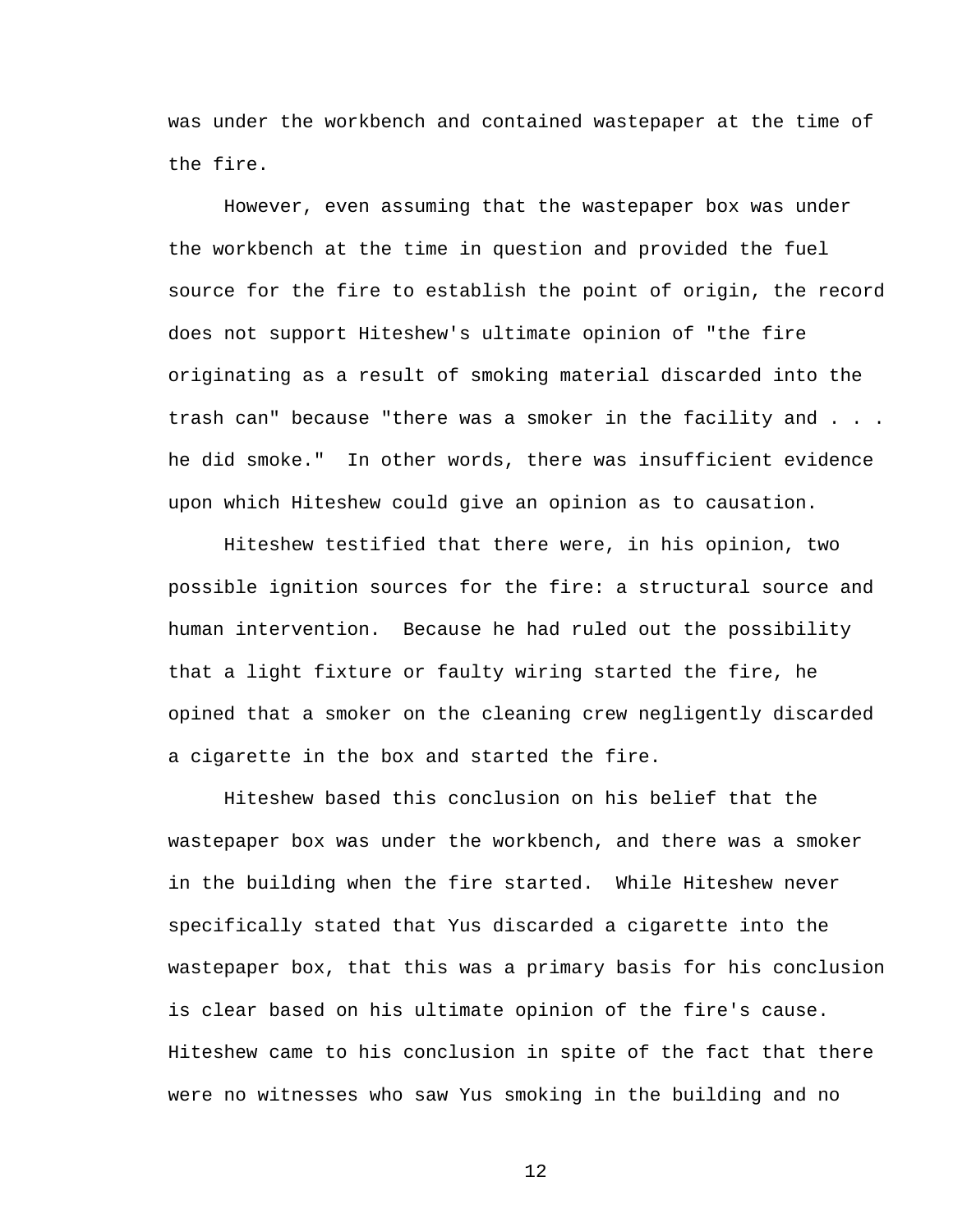was under the workbench and contained wastepaper at the time of the fire.

However, even assuming that the wastepaper box was under the workbench at the time in question and provided the fuel source for the fire to establish the point of origin, the record does not support Hiteshew's ultimate opinion of "the fire originating as a result of smoking material discarded into the trash can" because "there was a smoker in the facility and . . . he did smoke." In other words, there was insufficient evidence upon which Hiteshew could give an opinion as to causation.

Hiteshew testified that there were, in his opinion, two possible ignition sources for the fire: a structural source and human intervention. Because he had ruled out the possibility that a light fixture or faulty wiring started the fire, he opined that a smoker on the cleaning crew negligently discarded a cigarette in the box and started the fire.

Hiteshew based this conclusion on his belief that the wastepaper box was under the workbench, and there was a smoker in the building when the fire started. While Hiteshew never specifically stated that Yus discarded a cigarette into the wastepaper box, that this was a primary basis for his conclusion is clear based on his ultimate opinion of the fire's cause. Hiteshew came to his conclusion in spite of the fact that there were no witnesses who saw Yus smoking in the building and no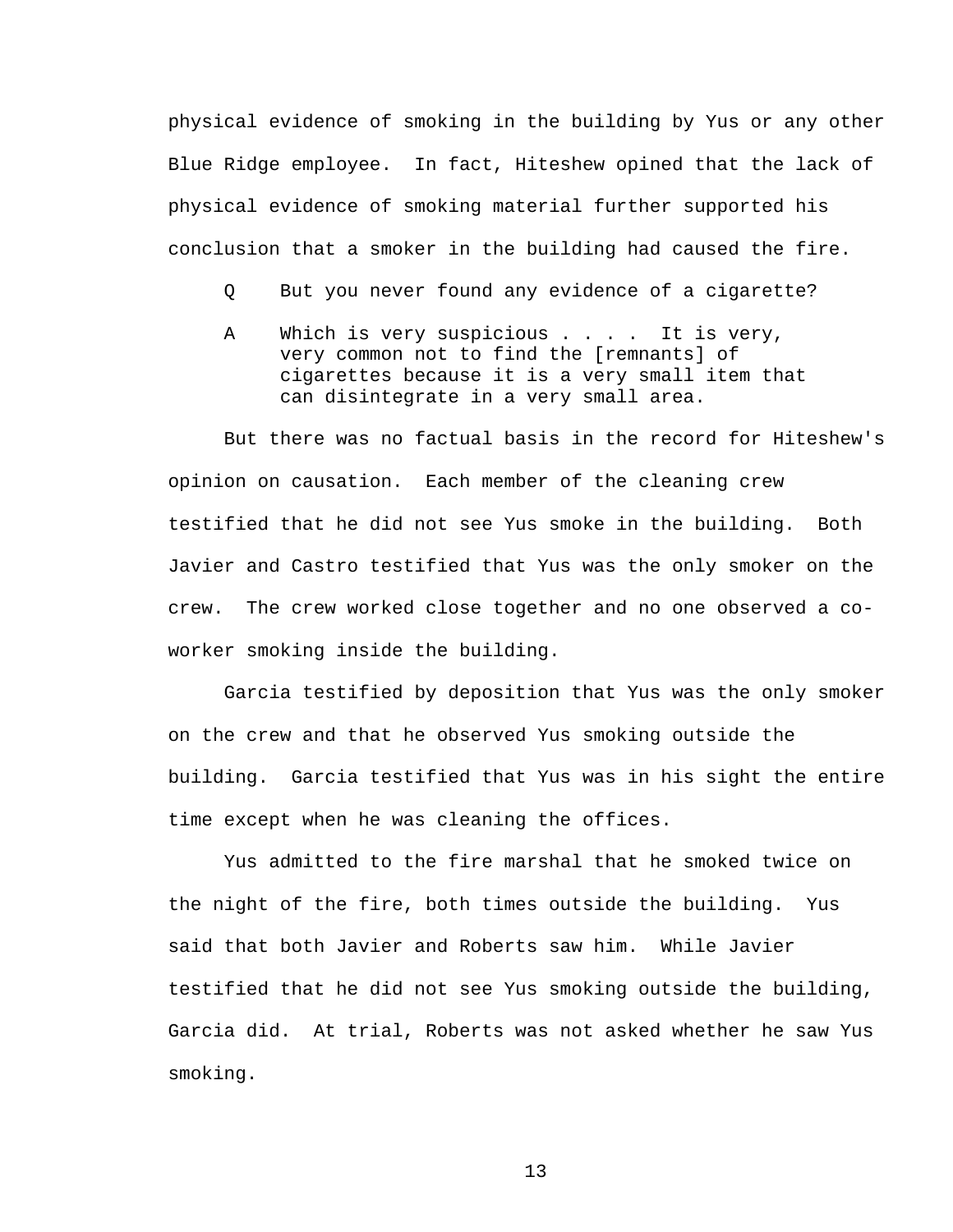physical evidence of smoking in the building by Yus or any other Blue Ridge employee. In fact, Hiteshew opined that the lack of physical evidence of smoking material further supported his conclusion that a smoker in the building had caused the fire.

- Q But you never found any evidence of a cigarette?
- A Which is very suspicious . . . . It is very, very common not to find the [remnants] of cigarettes because it is a very small item that can disintegrate in a very small area.

But there was no factual basis in the record for Hiteshew's opinion on causation. Each member of the cleaning crew testified that he did not see Yus smoke in the building. Both Javier and Castro testified that Yus was the only smoker on the crew. The crew worked close together and no one observed a coworker smoking inside the building.

Garcia testified by deposition that Yus was the only smoker on the crew and that he observed Yus smoking outside the building. Garcia testified that Yus was in his sight the entire time except when he was cleaning the offices.

Yus admitted to the fire marshal that he smoked twice on the night of the fire, both times outside the building. Yus said that both Javier and Roberts saw him. While Javier testified that he did not see Yus smoking outside the building, Garcia did. At trial, Roberts was not asked whether he saw Yus smoking.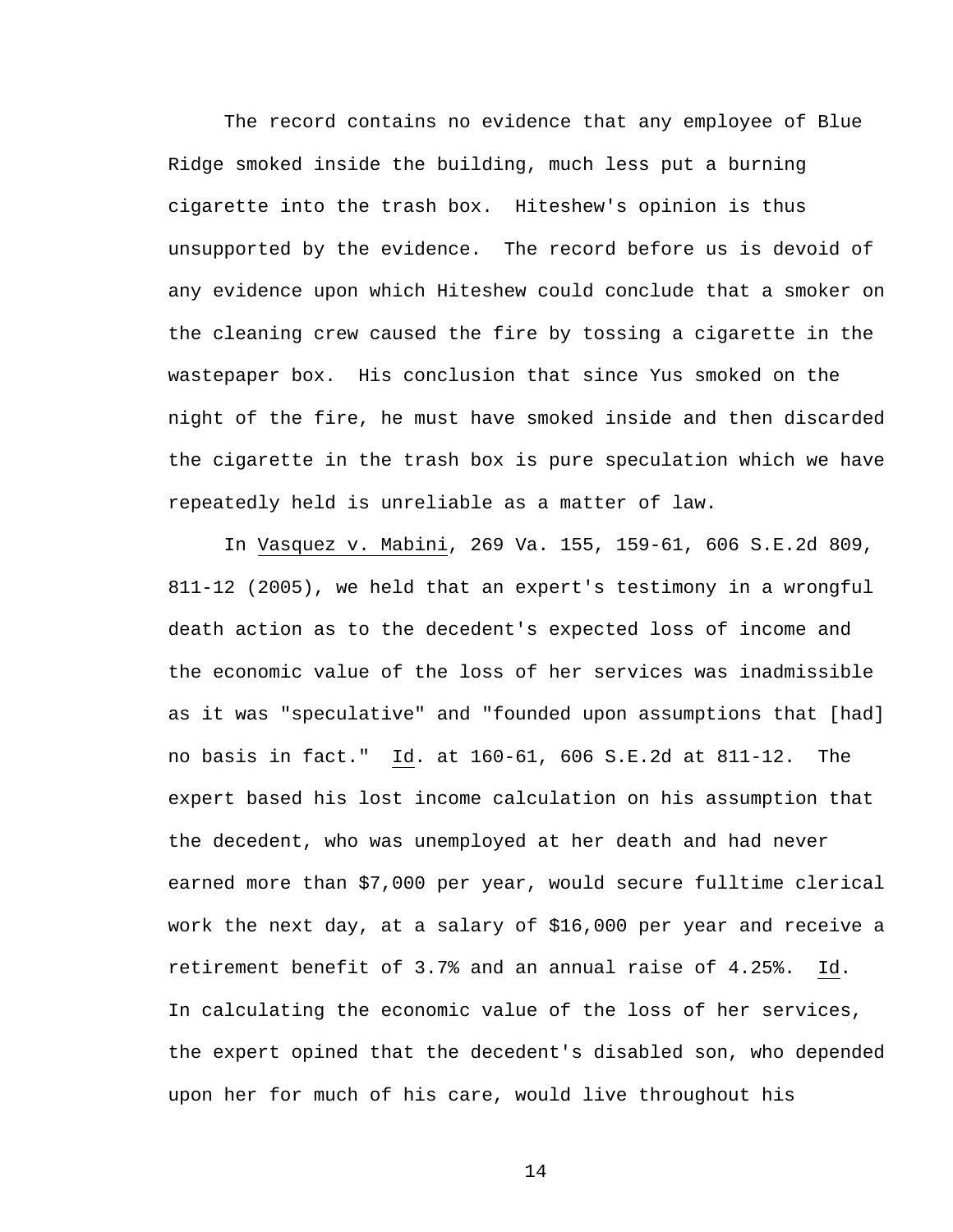The record contains no evidence that any employee of Blue Ridge smoked inside the building, much less put a burning cigarette into the trash box. Hiteshew's opinion is thus unsupported by the evidence. The record before us is devoid of any evidence upon which Hiteshew could conclude that a smoker on the cleaning crew caused the fire by tossing a cigarette in the wastepaper box. His conclusion that since Yus smoked on the night of the fire, he must have smoked inside and then discarded the cigarette in the trash box is pure speculation which we have repeatedly held is unreliable as a matter of law.

In Vasquez v. Mabini, 269 Va. 155, 159-61, 606 S.E.2d 809, 811-12 (2005), we held that an expert's testimony in a wrongful death action as to the decedent's expected loss of income and the economic value of the loss of her services was inadmissible as it was "speculative" and "founded upon assumptions that [had] no basis in fact." Id. at 160-61, 606 S.E.2d at 811-12. The expert based his lost income calculation on his assumption that the decedent, who was unemployed at her death and had never earned more than \$7,000 per year, would secure fulltime clerical work the next day, at a salary of \$16,000 per year and receive a retirement benefit of 3.7% and an annual raise of 4.25%. Id. In calculating the economic value of the loss of her services, the expert opined that the decedent's disabled son, who depended upon her for much of his care, would live throughout his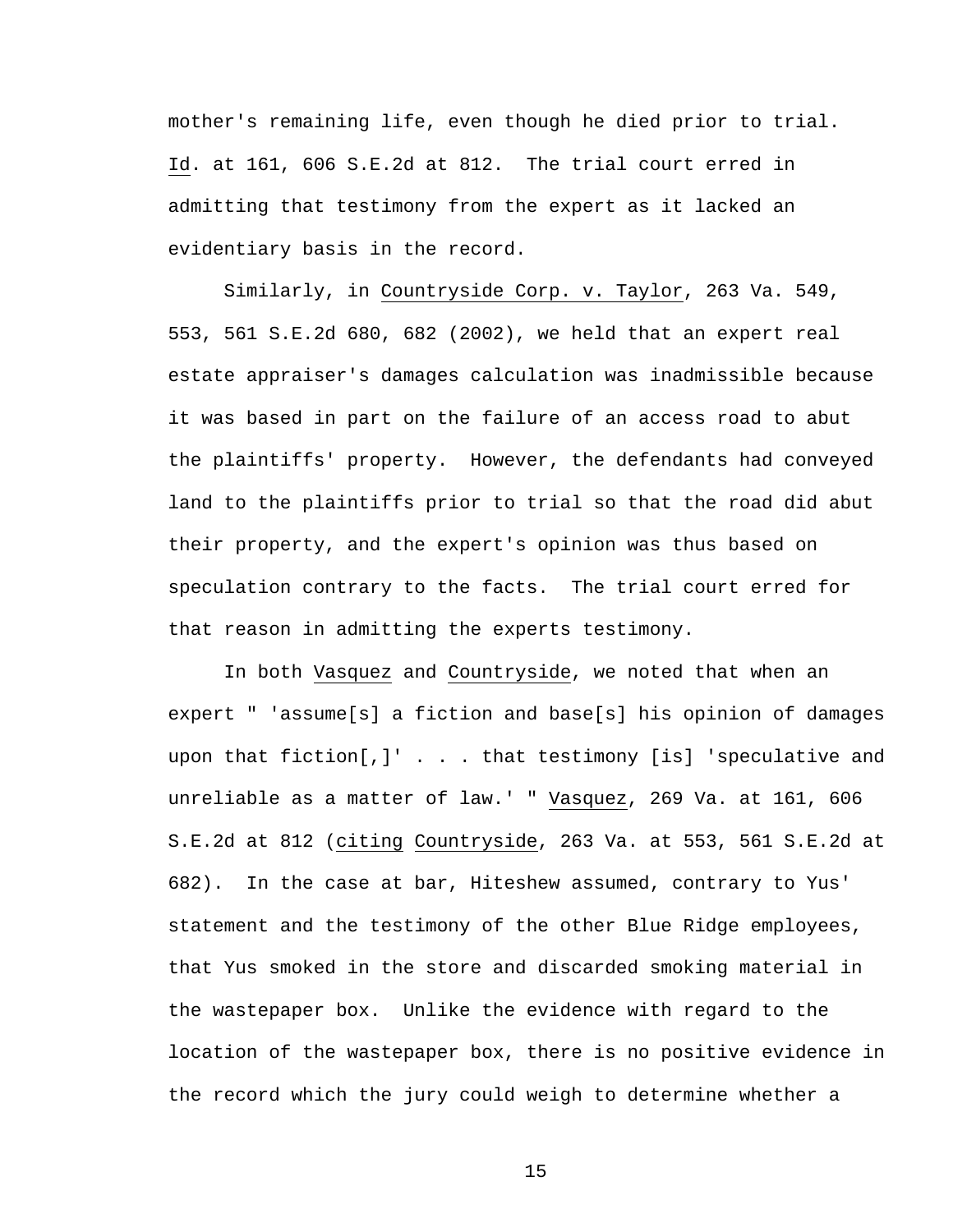mother's remaining life, even though he died prior to trial. Id. at 161, 606 S.E.2d at 812. The trial court erred in admitting that testimony from the expert as it lacked an evidentiary basis in the record.

Similarly, in Countryside Corp. v. Taylor, 263 Va. 549, 553, 561 S.E.2d 680, 682 (2002), we held that an expert real estate appraiser's damages calculation was inadmissible because it was based in part on the failure of an access road to abut the plaintiffs' property. However, the defendants had conveyed land to the plaintiffs prior to trial so that the road did abut their property, and the expert's opinion was thus based on speculation contrary to the facts. The trial court erred for that reason in admitting the experts testimony.

In both Vasquez and Countryside, we noted that when an expert " 'assume[s] a fiction and base[s] his opinion of damages upon that fiction[,]' . . . that testimony [is] 'speculative and unreliable as a matter of law.' " Vasquez, 269 Va. at 161, 606 S.E.2d at 812 (citing Countryside, 263 Va. at 553, 561 S.E.2d at 682). In the case at bar, Hiteshew assumed, contrary to Yus' statement and the testimony of the other Blue Ridge employees, that Yus smoked in the store and discarded smoking material in the wastepaper box. Unlike the evidence with regard to the location of the wastepaper box, there is no positive evidence in the record which the jury could weigh to determine whether a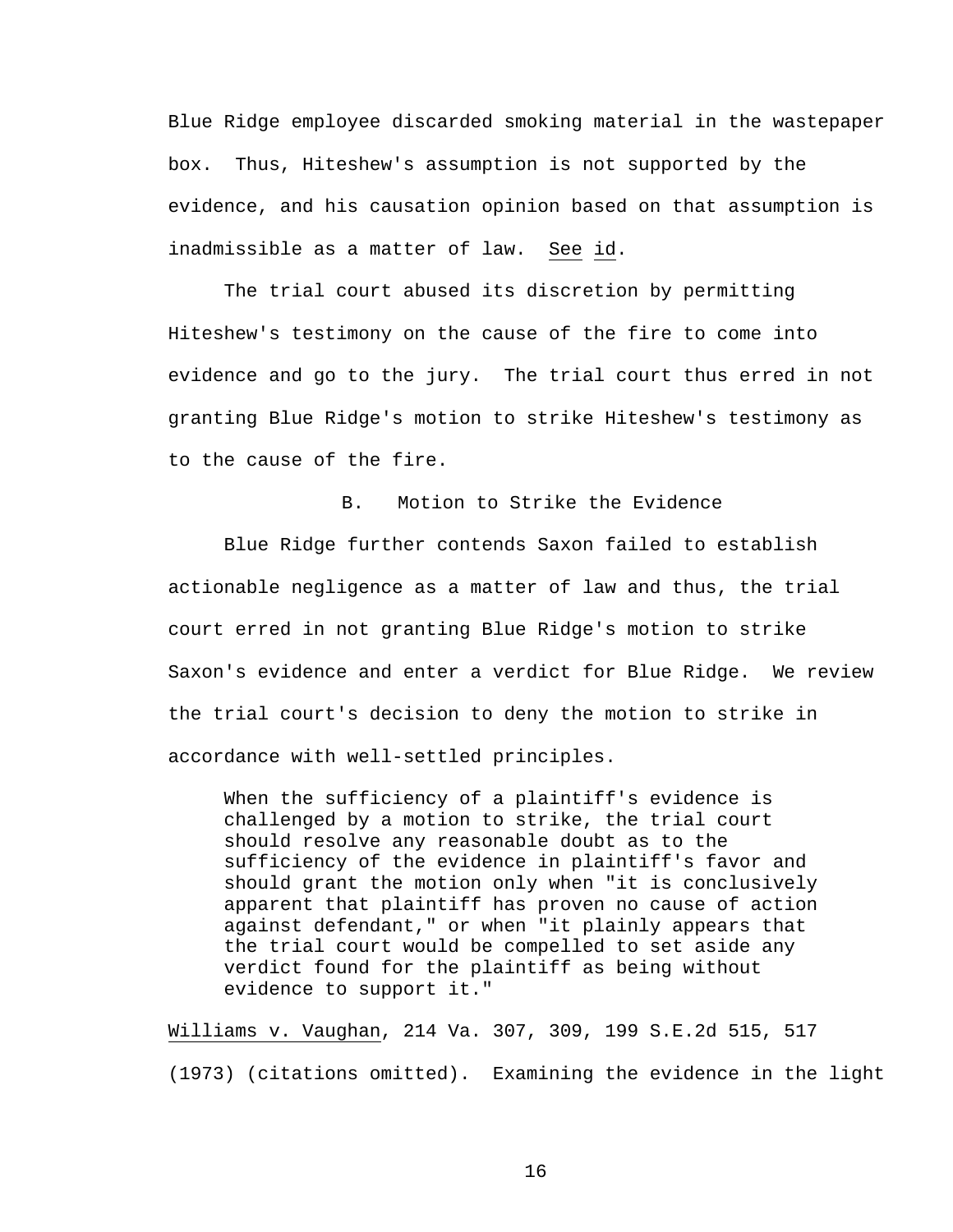Blue Ridge employee discarded smoking material in the wastepaper box. Thus, Hiteshew's assumption is not supported by the evidence, and his causation opinion based on that assumption is inadmissible as a matter of law. See id.

The trial court abused its discretion by permitting Hiteshew's testimony on the cause of the fire to come into evidence and go to the jury. The trial court thus erred in not granting Blue Ridge's motion to strike Hiteshew's testimony as to the cause of the fire.

B. Motion to Strike the Evidence

Blue Ridge further contends Saxon failed to establish actionable negligence as a matter of law and thus, the trial court erred in not granting Blue Ridge's motion to strike Saxon's evidence and enter a verdict for Blue Ridge. We review the trial court's decision to deny the motion to strike in accordance with well-settled principles.

When the sufficiency of a plaintiff's evidence is challenged by a motion to strike, the trial court should resolve any reasonable doubt as to the sufficiency of the evidence in plaintiff's favor and should grant the motion only when "it is conclusively apparent that plaintiff has proven no cause of action against defendant," or when "it plainly appears that the trial court would be compelled to set aside any verdict found for the plaintiff as being without evidence to support it."

Williams v. Vaughan, 214 Va. 307, 309, 199 S.E.2d 515, 517 (1973) (citations omitted). Examining the evidence in the light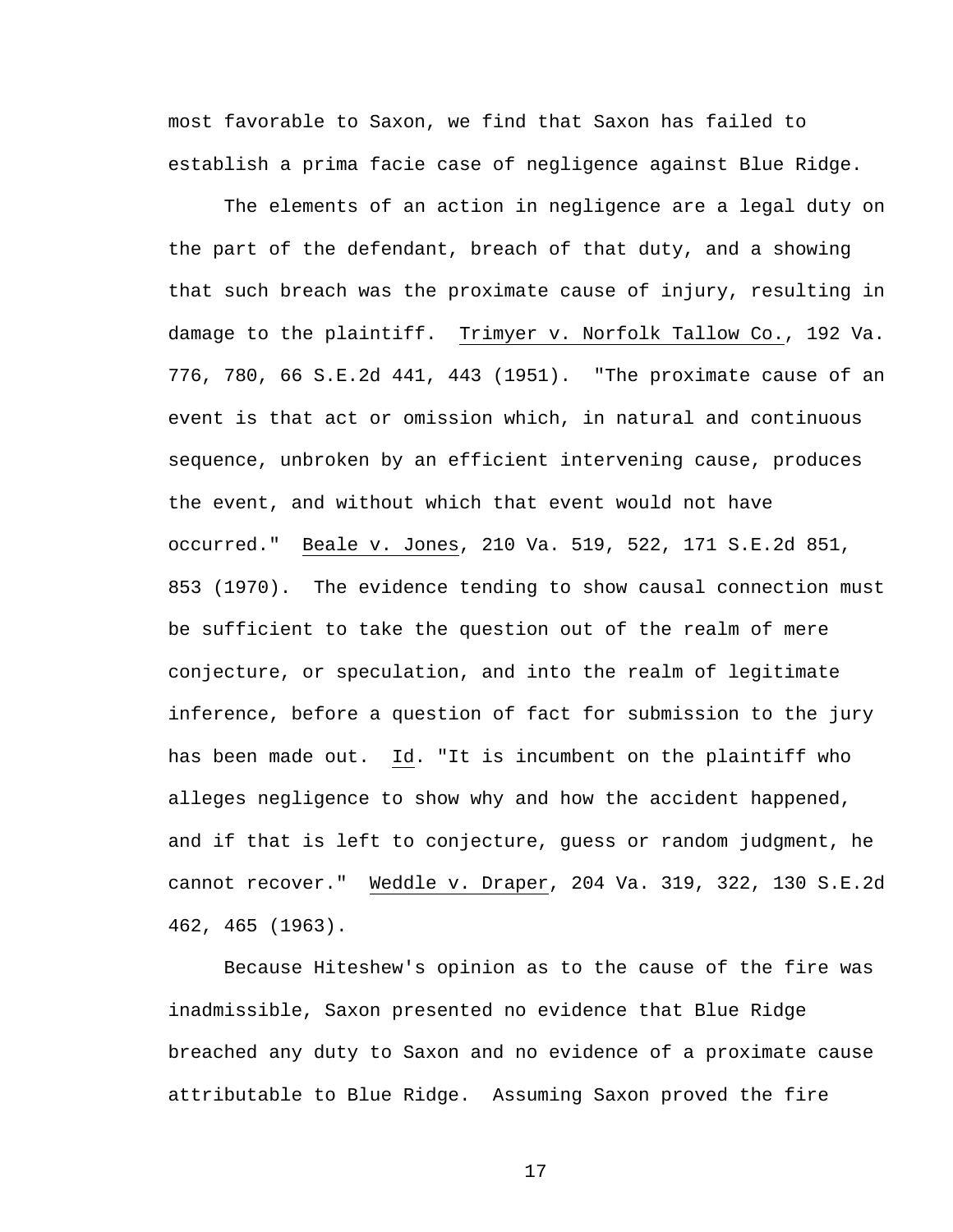most favorable to Saxon, we find that Saxon has failed to establish a prima facie case of negligence against Blue Ridge.

The elements of an action in negligence are a legal duty on the part of the defendant, breach of that duty, and a showing that such breach was the proximate cause of injury, resulting in damage to the plaintiff. Trimyer v. Norfolk Tallow Co., 192 Va. 776, 780, 66 S.E.2d 441, 443 (1951). "The proximate cause of an event is that act or omission which, in natural and continuous sequence, unbroken by an efficient intervening cause, produces the event, and without which that event would not have occurred." Beale v. Jones, 210 Va. 519, 522, 171 S.E.2d 851, 853 (1970). The evidence tending to show causal connection must be sufficient to take the question out of the realm of mere conjecture, or speculation, and into the realm of legitimate inference, before a question of fact for submission to the jury has been made out. Id. "It is incumbent on the plaintiff who alleges negligence to show why and how the accident happened, and if that is left to conjecture, guess or random judgment, he cannot recover." Weddle v. Draper, 204 Va. 319, 322, 130 S.E.2d 462, 465 (1963).

Because Hiteshew's opinion as to the cause of the fire was inadmissible, Saxon presented no evidence that Blue Ridge breached any duty to Saxon and no evidence of a proximate cause attributable to Blue Ridge. Assuming Saxon proved the fire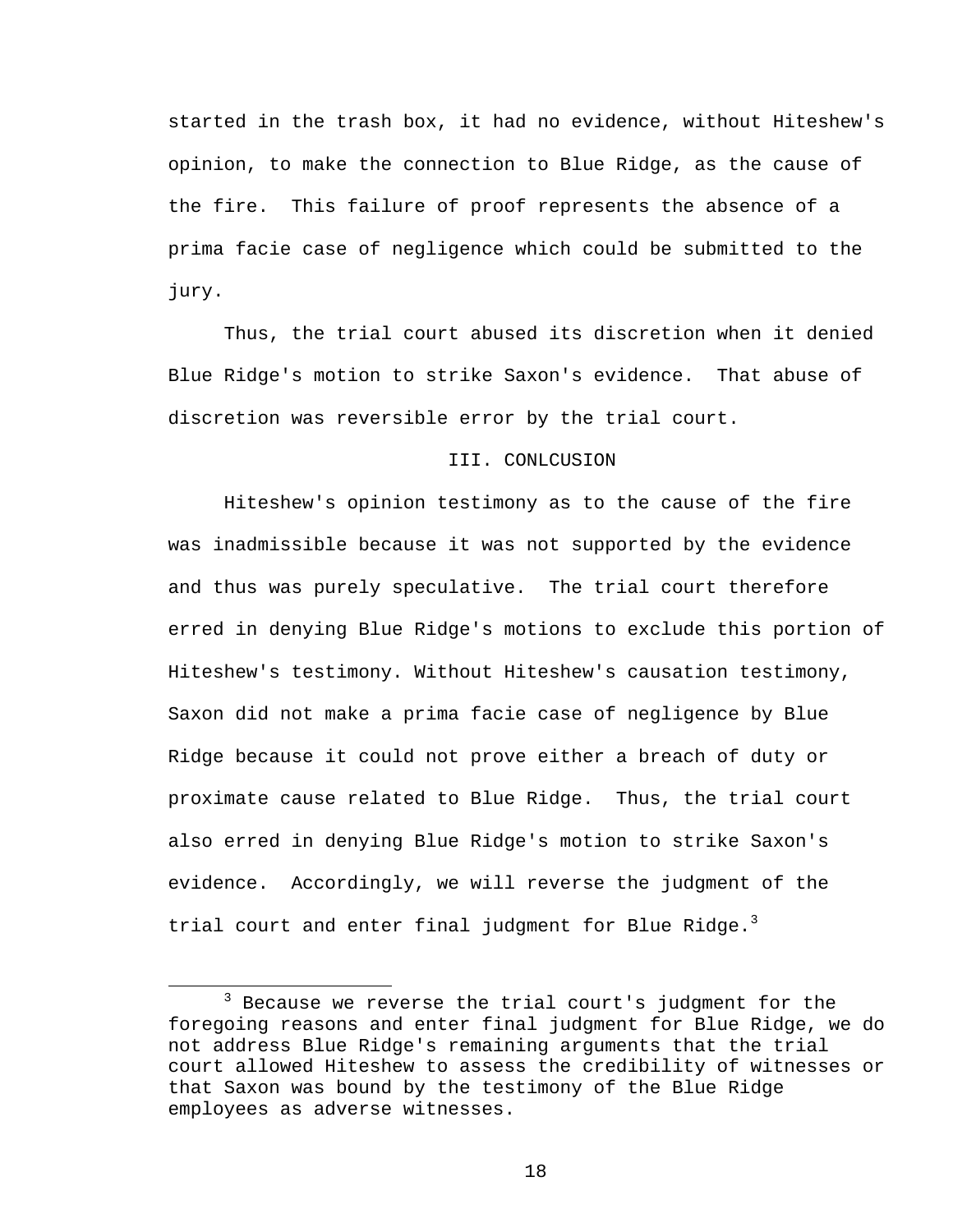started in the trash box, it had no evidence, without Hiteshew's opinion, to make the connection to Blue Ridge, as the cause of the fire. This failure of proof represents the absence of a prima facie case of negligence which could be submitted to the jury.

Thus, the trial court abused its discretion when it denied Blue Ridge's motion to strike Saxon's evidence. That abuse of discretion was reversible error by the trial court.

## III. CONLCUSION

 Hiteshew's opinion testimony as to the cause of the fire was inadmissible because it was not supported by the evidence and thus was purely speculative. The trial court therefore erred in denying Blue Ridge's motions to exclude this portion of Hiteshew's testimony. Without Hiteshew's causation testimony, Saxon did not make a prima facie case of negligence by Blue Ridge because it could not prove either a breach of duty or proximate cause related to Blue Ridge. Thus, the trial court also erred in denying Blue Ridge's motion to strike Saxon's evidence. Accordingly, we will reverse the judgment of the trial court and enter final judgment for Blue Ridge. $3$ 

 $\overline{\phantom{a}}$  3  $3$  Because we reverse the trial court's judgment for the foregoing reasons and enter final judgment for Blue Ridge, we do not address Blue Ridge's remaining arguments that the trial court allowed Hiteshew to assess the credibility of witnesses or that Saxon was bound by the testimony of the Blue Ridge employees as adverse witnesses.